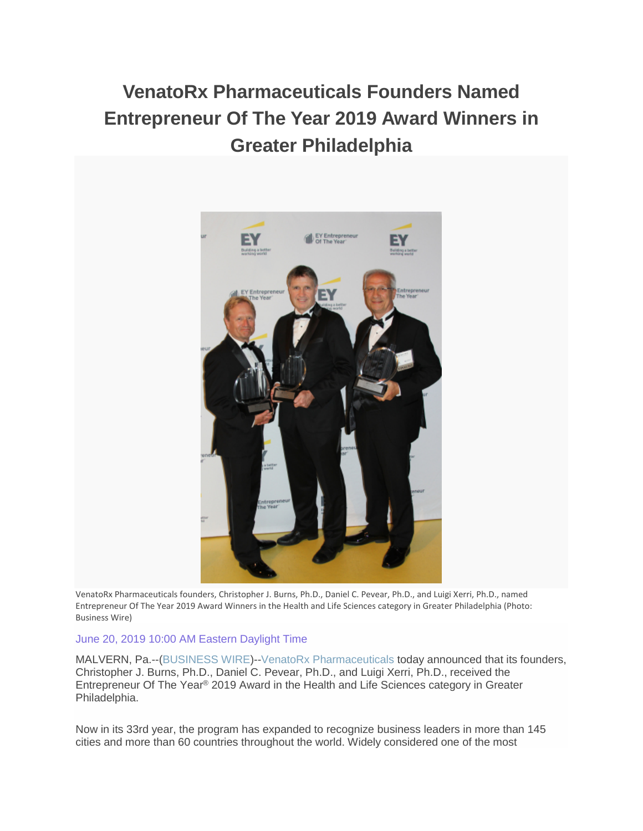# **VenatoRx Pharmaceuticals Founders Named Entrepreneur Of The Year 2019 Award Winners in Greater Philadelphia**



VenatoRx Pharmaceuticals founders, Christopher J. Burns, Ph.D., Daniel C. Pevear, Ph.D., and Luigi Xerri, Ph.D., named Entrepreneur Of The Year 2019 Award Winners in the Health and Life Sciences category in Greater Philadelphia (Photo: Business Wire)

### June 20, 2019 10:00 AM Eastern Daylight Time

MALVERN, Pa.--[\(BUSINESS WIRE\)](https://www.businesswire.com/)-[-VenatoRx Pharmaceuticals](https://cts.businesswire.com/ct/CT?id=smartlink&url=https%3A%2F%2Fwww.venatorx.com%2F&esheet=52002557&newsitemid=20190620005398&lan=en-US&anchor=VenatoRx+Pharmaceuticals&index=1&md5=d73fadd5a26f476bd9ed0e4bc2a5b1e4) today announced that its founders, Christopher J. Burns, Ph.D., Daniel C. Pevear, Ph.D., and Luigi Xerri, Ph.D., received the Entrepreneur Of The Year® 2019 Award in the Health and Life Sciences category in Greater Philadelphia.

Now in its 33rd year, the program has expanded to recognize business leaders in more than 145 cities and more than 60 countries throughout the world. Widely considered one of the most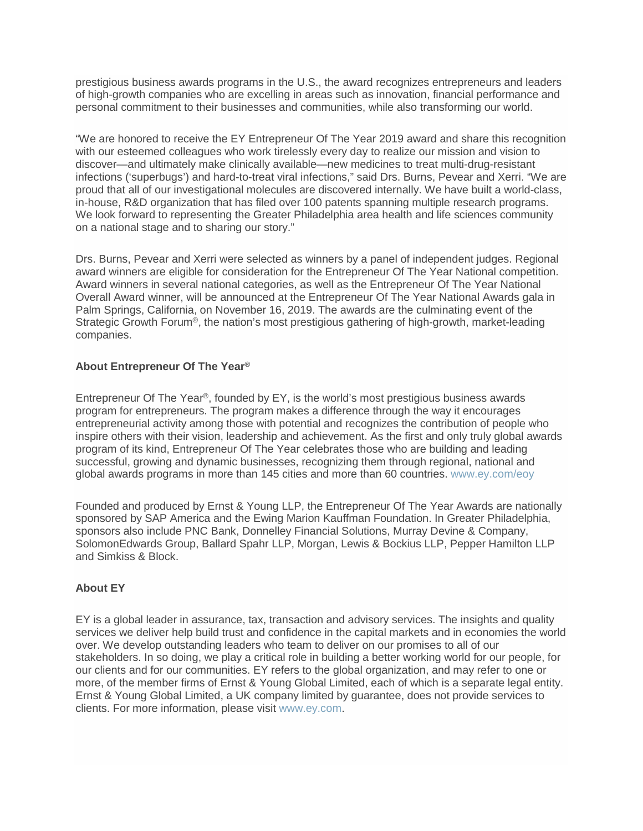prestigious business awards programs in the U.S., the award recognizes entrepreneurs and leaders of high-growth companies who are excelling in areas such as innovation, financial performance and personal commitment to their businesses and communities, while also transforming our world.

"We are honored to receive the EY Entrepreneur Of The Year 2019 award and share this recognition with our esteemed colleagues who work tirelessly every day to realize our mission and vision to discover—and ultimately make clinically available—new medicines to treat multi-drug-resistant infections ('superbugs') and hard-to-treat viral infections," said Drs. Burns, Pevear and Xerri. "We are proud that all of our investigational molecules are discovered internally. We have built a world-class, in-house, R&D organization that has filed over 100 patents spanning multiple research programs. We look forward to representing the Greater Philadelphia area health and life sciences community on a national stage and to sharing our story."

Drs. Burns, Pevear and Xerri were selected as winners by a panel of independent judges. Regional award winners are eligible for consideration for the Entrepreneur Of The Year National competition. Award winners in several national categories, as well as the Entrepreneur Of The Year National Overall Award winner, will be announced at the Entrepreneur Of The Year National Awards gala in Palm Springs, California, on November 16, 2019. The awards are the culminating event of the Strategic Growth Forum®, the nation's most prestigious gathering of high-growth, market-leading companies.

## **About Entrepreneur Of The Year®**

Entrepreneur Of The Year®, founded by EY, is the world's most prestigious business awards program for entrepreneurs. The program makes a difference through the way it encourages entrepreneurial activity among those with potential and recognizes the contribution of people who inspire others with their vision, leadership and achievement. As the first and only truly global awards program of its kind, Entrepreneur Of The Year celebrates those who are building and leading successful, growing and dynamic businesses, recognizing them through regional, national and global awards programs in more than 145 cities and more than 60 countries. [www.ey.com/eoy](https://cts.businesswire.com/ct/CT?id=smartlink&url=http%3A%2F%2Fwww.ey.com%2Feoy&esheet=52002557&newsitemid=20190620005398&lan=en-US&anchor=www.ey.com%2Feoy&index=2&md5=c7b394fcce18d758129eb2b18f0b3c7b)

Founded and produced by Ernst & Young LLP, the Entrepreneur Of The Year Awards are nationally sponsored by SAP America and the Ewing Marion Kauffman Foundation. In Greater Philadelphia, sponsors also include PNC Bank, Donnelley Financial Solutions, Murray Devine & Company, SolomonEdwards Group, Ballard Spahr LLP, Morgan, Lewis & Bockius LLP, Pepper Hamilton LLP and Simkiss & Block.

#### **About EY**

EY is a global leader in assurance, tax, transaction and advisory services. The insights and quality services we deliver help build trust and confidence in the capital markets and in economies the world over. We develop outstanding leaders who team to deliver on our promises to all of our stakeholders. In so doing, we play a critical role in building a better working world for our people, for our clients and for our communities. EY refers to the global organization, and may refer to one or more, of the member firms of Ernst & Young Global Limited, each of which is a separate legal entity. Ernst & Young Global Limited, a UK company limited by guarantee, does not provide services to clients. For more information, please visit [www.ey.com.](https://cts.businesswire.com/ct/CT?id=smartlink&url=http%3A%2F%2Fwww.ey.com&esheet=52002557&newsitemid=20190620005398&lan=en-US&anchor=www.ey.com&index=3&md5=15c5b7314b23c2bd256298bdc918cdda)